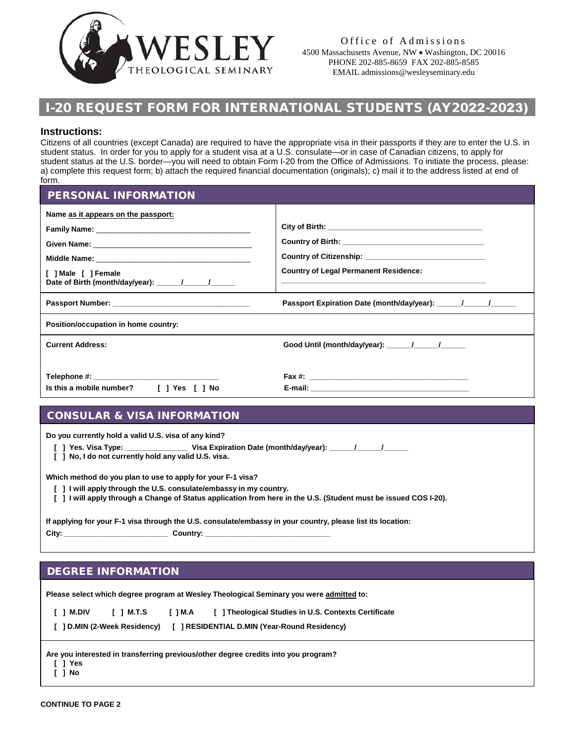

# I-20 REQUEST FORM FOR INTERNATIONAL STUDENTS (AY2022-2023)

### **Instructions:**

Citizens of all countries (except Canada) are required to have the appropriate visa in their passports if they are to enter the U.S. in student status. In order for you to apply for a student visa at a U.S. consulate—or in case of Canadian citizens, to apply for student status at the U.S. border—you will need to obtain Form I-20 from the Office of Admissions. To initiate the process, please: a) complete this request form; b) attach the required financial documentation (originals); c) mail it to the address listed at end of form.

PERSONAL INFORMATION

| Name as it appears on the passport:<br>[ ] Male [ ] Female | <b>Country of Legal Permanent Residence:</b> |
|------------------------------------------------------------|----------------------------------------------|
| Passport Number: Name of Passport Number:                  |                                              |
| Position/occupation in home country:                       |                                              |
| <b>Current Address:</b>                                    | Good Until (month/day/year): / / /           |
| Is this a mobile number? [ ] Yes [ ] No                    |                                              |

# CONSULAR & VISA INFORMATION

**Do you currently hold a valid U.S. visa of any kind?**

 **[ ] Yes. Visa Type: \_\_\_\_\_\_\_\_\_\_\_\_\_\_\_ Visa Expiration Date (month/day/year): \_\_\_\_\_\_/\_\_\_\_\_\_/\_\_\_\_\_\_**

 **[ ] No, I do not currently hold any valid U.S. visa.**

**Which method do you plan to use to apply for your F-1 visa?**

- **[ ] I will apply through the U.S. consulate/embassy in my country.**
- **[ ] I will apply through a Change of Status application from here in the U.S. (Student must be issued COS I-20).**

**If applying for your F-1 visa through the U.S. consulate/embassy in your country, please list its location: City: \_\_\_\_\_\_\_\_\_\_\_\_\_\_\_\_\_\_\_\_\_\_\_\_\_ Country: \_\_\_\_\_\_\_\_\_\_\_\_\_\_\_\_\_\_\_\_\_\_\_\_\_\_\_\_\_\_**

## DEGREE INFORMATION

**Please select which degree program at Wesley Theological Seminary you were admitted to:** 

| I 1 M.DIV | IIMTS | I I M.A | [ ] Theological Studies in U.S. Contexts Certificate                      |
|-----------|-------|---------|---------------------------------------------------------------------------|
|           |       |         | [ ] D.MIN (2-Week Residency) [ ] RESIDENTIAL D.MIN (Year-Round Residency) |

**Are you interested in transferring previous/other degree credits into you program?**

 **[ ] Yes [ ] No**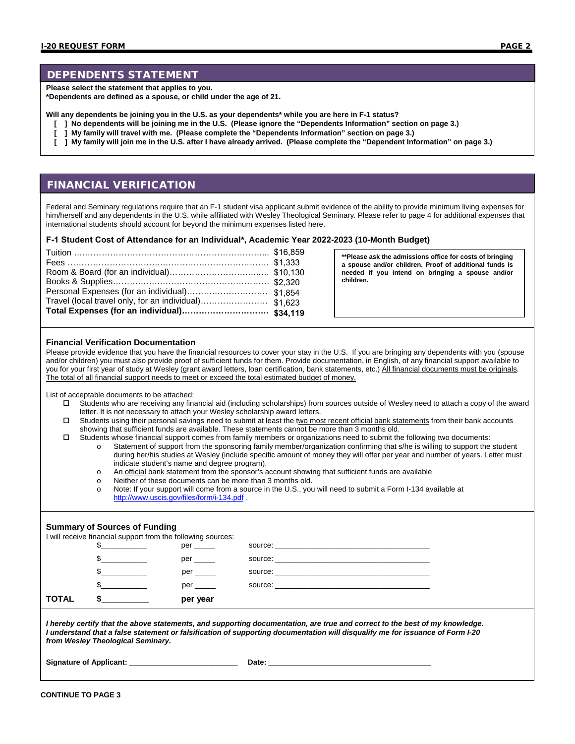### DEPENDENTS STATEMENT

**Please select the statement that applies to you.**

**\*Dependents are defined as a spouse, or child under the age of 21.**

**Will any dependents be joining you in the U.S. as your dependents\* while you are here in F-1 status?**

- **[ ] No dependents will be joining me in the U.S. (Please ignore the "Dependents Information" section on page 3.)**
- **[ ] My family will travel with me. (Please complete the "Dependents Information" section on page 3.)**
- **[ ] My family will join me in the U.S. after I have already arrived. (Please complete the "Dependent Information" on page 3.)**

### FINANCIAL VERIFICATION

Federal and Seminary regulations require that an F-1 student visa applicant submit evidence of the ability to provide minimum living expenses for him/herself and any dependents in the U.S. while affiliated with Wesley Theological Seminary. Please refer to page 4 for additional expenses that international students should account for beyond the minimum expenses listed here.

#### **F-1 Student Cost of Attendance for an Individual\*, Academic Year 2022-2023 (10-Month Budget)**

**\*\*Please ask the admissions office for costs of bringing a spouse and/or children. Proof of additional funds is needed if you intend on bringing a spouse and/or children.** 

#### **Financial Verification Documentation**

Please provide evidence that you have the financial resources to cover your stay in the U.S. If you are bringing any dependents with you (spouse and/or children) you must also provide proof of sufficient funds for them. Provide documentation, in English, of any financial support available to you for your first year of study at Wesley (grant award letters, loan certification, bank statements, etc.) All financial documents must be originals. The total of all financial support needs to meet or exceed the total estimated budget of money.

List of acceptable documents to be attached:

- Students who are receiving any financial aid (including scholarships) from sources outside of Wesley need to attach a copy of the award letter. It is not necessary to attach your Wesley scholarship award letters.
- $\Box$  Students using their personal savings need to submit at least the two most recent official bank statements from their bank accounts showing that sufficient funds are available. These statements cannot be more than 3 months old.
- Students whose financial support comes from family members or organizations need to submit the following two documents:
	- o Statement of support from the sponsoring family member/organization confirming that s/he is willing to support the student during her/his studies at Wesley (include specific amount of money they will offer per year and number of years. Letter must indicate student's name and degree program).
		- o An official bank statement from the sponsor's account showing that sufficient funds are available<br>
		Neither of these documents can be more than 3 months old.
	- $\circ$  Neither of these documents can be more than 3 months old.<br> $\circ$  Note: If your support will come from a source in the U.S. you
	- Note: If your support will come from a source in the U.S., you will need to submit a Form I-134 available at <http://www.uscis.gov/files/form/i-134.pdf>

### **Summary of Sources of Funding**

I will receive financial support from the following sources:

| <b>TOTAL</b> | per year   |  |
|--------------|------------|--|
|              | per ______ |  |
|              | $per \$    |  |
|              | per        |  |
|              | per        |  |

*I hereby certify that the above statements, and supporting documentation, are true and correct to the best of my knowledge. I understand that a false statement or falsification of supporting documentation will disqualify me for issuance of Form I-20 from Wesley Theological Seminary.* 

**Signature of Applicant: \_\_\_\_\_\_\_\_\_\_\_\_\_\_\_\_\_\_\_\_\_\_\_\_\_\_ Date: \_\_\_\_\_\_\_\_\_\_\_\_\_\_\_\_\_\_\_\_\_\_\_\_\_\_\_\_\_\_\_\_\_\_\_\_\_\_\_**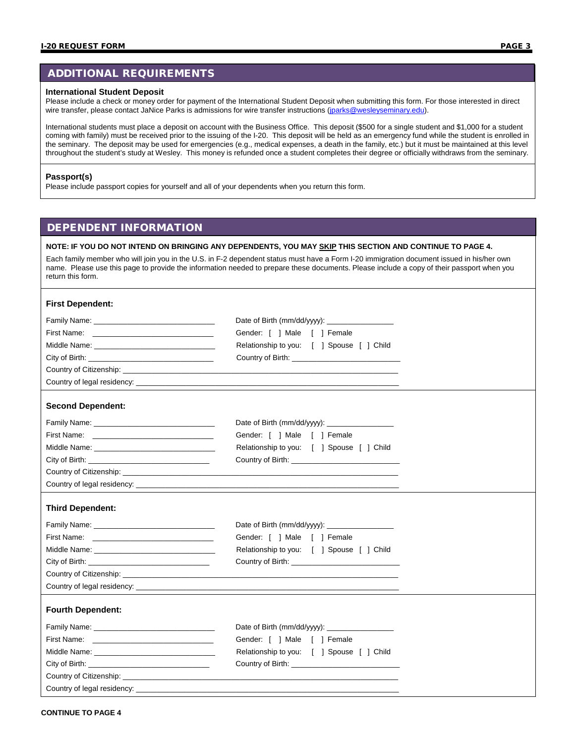## ADDITIONAL REQUIREMENTS

### **International Student Deposit**

Please include a check or money order for payment of the International Student Deposit when submitting this form. For those interested in direct wire transfer, please contact JaNice Parks is admissions for wire transfer instructions [\(jparks@wesleyseminary.edu\)](mailto:jparks@wesleyseminary.edu).

International students must place a deposit on account with the Business Office. This deposit (\$500 for a single student and \$1,000 for a student coming with family) must be received prior to the issuing of the I-20. This deposit will be held as an emergency fund while the student is enrolled in the seminary. The deposit may be used for emergencies (e.g., medical expenses, a death in the family, etc.) but it must be maintained at this level throughout the student's study at Wesley. This money is refunded once a student completes their degree or officially withdraws from the seminary.

#### **Passport(s)**

Please include passport copies for yourself and all of your dependents when you return this form.

### DEPENDENT INFORMATION

### **NOTE: IF YOU DO NOT INTEND ON BRINGING ANY DEPENDENTS, YOU MAY SKIP THIS SECTION AND CONTINUE TO PAGE 4.**

| Each family member who will join you in the U.S. in F-2 dependent status must have a Form I-20 immigration document issued in his/her own |
|-------------------------------------------------------------------------------------------------------------------------------------------|
| name. Please use this page to provide the information needed to prepare these documents. Please include a copy of their passport when you |
| return this form.                                                                                                                         |

### **First Dependent:**

| City of Birth: <u>Alexander City of Birth:</u><br>Country of Citizenship: example and the contract of the contract of the contract of the contract of the contract of the contract of the contract of the contract of the contract of the contract of the contract of the contra<br>Country of legal residency: example and a series of the state of the state of the state of the state of the state of the state of the state of the state of the state of the state of the state of the state of the state of t                                                                                                                                                                                                                                                                              | Gender: [ ] Male [ ] Female<br>Relationship to you: [ ] Spouse [ ] Child |  |
|-------------------------------------------------------------------------------------------------------------------------------------------------------------------------------------------------------------------------------------------------------------------------------------------------------------------------------------------------------------------------------------------------------------------------------------------------------------------------------------------------------------------------------------------------------------------------------------------------------------------------------------------------------------------------------------------------------------------------------------------------------------------------------------------------|--------------------------------------------------------------------------|--|
| <b>Second Dependent:</b>                                                                                                                                                                                                                                                                                                                                                                                                                                                                                                                                                                                                                                                                                                                                                                        |                                                                          |  |
| Family Name: Name: Name and South Assembly Name and South Assembly Name and South Assembly Name and South Assembly<br>City of Birth: <u>Alexander City of Birth:</u><br>Country of Citizenship: example and the contract of the contract of the contract of the contract of the contract of the contract of the contract of the contract of the contract of the contract of the contract of the contra                                                                                                                                                                                                                                                                                                                                                                                          | Gender: [ ] Male [ ] Female<br>Relationship to you: [ ] Spouse [ ] Child |  |
| <b>Third Dependent:</b>                                                                                                                                                                                                                                                                                                                                                                                                                                                                                                                                                                                                                                                                                                                                                                         |                                                                          |  |
| Family Name: Name: Name of the Second Contract of the Second Contract of the Second Contract of the Second Contract of the Second Contract of the Second Contract of the Second Contract of the Second Contract of the Second<br>First Name: <u>______________________________</u><br>City of Birth: <u>Alexander State of Birth:</u><br>Country of Citizenship: example and the contract of the contract of the contract of the contract of the contract of the contract of the contract of the contract of the contract of the contract of the contract of the contra                                                                                                                                                                                                                         | Gender: [ ] Male [ ] Female<br>Relationship to you: [ ] Spouse [ ] Child |  |
| <b>Fourth Dependent:</b>                                                                                                                                                                                                                                                                                                                                                                                                                                                                                                                                                                                                                                                                                                                                                                        |                                                                          |  |
| Family Name: Name: Name and South Assembly Name: Name and Assembly Name and Assembly Name and Assembly Name and Assembly Name and Assembly Name and Assembly Name and Assembly Name and Assembly Name and Assembly Name and As<br>First Name: <u>______________________________</u><br>City of Birth: <b>City of Birth:</b><br>Country of Citizenship: example of the control of the control of the control of the control of the control of the control of the control of the control of the control of the control of the control of the control of the con<br>Country of legal residency: Lease and the state of the state of the state of the state of the state of the state of the state of the state of the state of the state of the state of the state of the state of the state of th | Gender: [ ] Male [ ] Female<br>Relationship to you: [ ] Spouse [ ] Child |  |